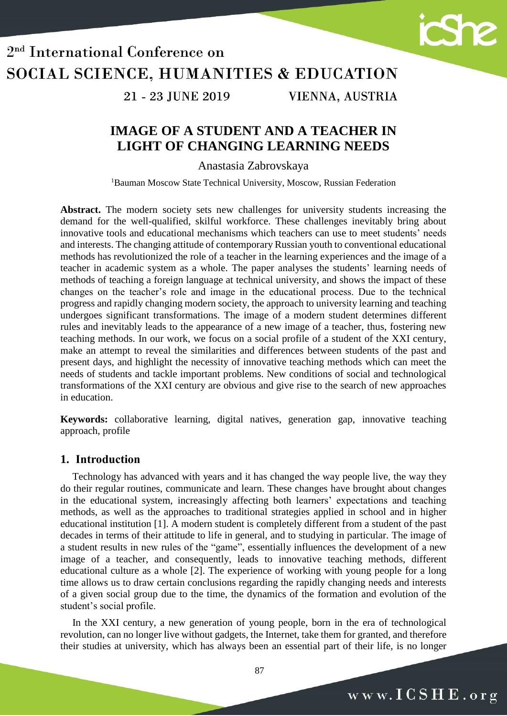

21 - 23 JUNE 2019

VIENNA, AUSTRIA

### **IMAGE OF A STUDENT AND A TEACHER IN LIGHT OF CHANGING LEARNING NEEDS**

Anastasia Zabrovskaya

<sup>1</sup>Bauman Moscow State Technical University, Moscow, Russian Federation

**Abstract.** The modern society sets new challenges for university students increasing the demand for the well-qualified, skilful workforce. These challenges inevitably bring about innovative tools and educational mechanisms which teachers can use to meet students' needs and interests. The changing attitude of contemporary Russian youth to conventional educational methods has revolutionized the role of a teacher in the learning experiences and the image of a teacher in academic system as a whole. The paper analyses the students' learning needs of methods of teaching a foreign language at technical university, and shows the impact of these changes on the teacher's role and image in the educational process. Due to the technical progress and rapidly changing modern society, the approach to university learning and teaching undergoes significant transformations. The image of a modern student determines different rules and inevitably leads to the appearance of a new image of a teacher, thus, fostering new teaching methods. In our work, we focus on a social profile of a student of the XXI century, make an attempt to reveal the similarities and differences between students of the past and present days, and highlight the necessity of innovative teaching methods which can meet the needs of students and tackle important problems. New conditions of social and technological transformations of the XXI century are obvious and give rise to the search of new approaches in education.

**Keywords:** collaborative learning, digital natives, generation gap, innovative teaching approach, profile

#### **1. Introduction**

Technology has advanced with years and it has changed the way people live, the way they do their regular routines, communicate and learn. These changes have brought about changes in the educational system, increasingly affecting both learners' expectations and teaching methods, as well as the approaches to traditional strategies applied in school and in higher educational institution [1]. A modern student is completely different from a student of the past decades in terms of their attitude to life in general, and to studying in particular. The image of a student results in new rules of the "game", essentially influences the development of a new image of a teacher, and consequently, leads to innovative teaching methods, different educational culture as a whole [2]. The experience of working with young people for a long time allows us to draw certain conclusions regarding the rapidly changing needs and interests of a given social group due to the time, the dynamics of the formation and evolution of the student's social profile.

In the XXI century, a new generation of young people, born in the era of technological revolution, can no longer live without gadgets, the Internet, take them for granted, and therefore their studies at university, which has always been an essential part of their life, is no longer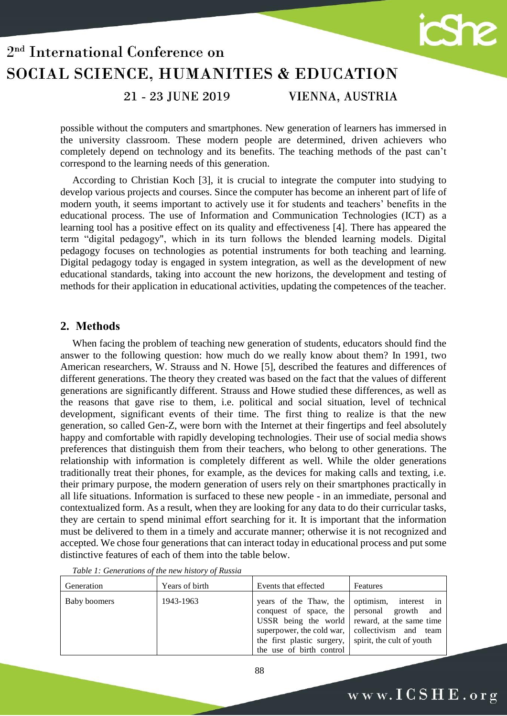

21 - 23 JUNE 2019

VIENNA, AUSTRIA

possible without the computers and smartphones. New generation of learners has immersed in the university classroom. These modern people are determined, driven achievers who completely depend on technology and its benefits. The teaching methods of the past can't correspond to the learning needs of this generation.

According to Christian Koch [3], it is crucial to integrate the computer into studying to develop various projects and courses. Since the computer has become an inherent part of life of modern youth, it seems important to actively use it for students and teachers' benefits in the educational process. The use of Information and Communication Technologies (ICT) as a learning tool has a positive effect on its quality and effectiveness [4]. There has appeared the term "digital pedagogy", which in its turn follows the blended learning models. Digital pedagogy focuses on technologies as potential instruments for both teaching and learning. Digital pedagogy today is engaged in system integration, as well as the development of new educational standards, taking into account the new horizons, the development and testing of methods for their application in educational activities, updating the competences of the teacher.

#### **2. Methods**

When facing the problem of teaching new generation of students, educators should find the answer to the following question: how much do we really know about them? In 1991, two American researchers, W. Strauss and N. Howe [5], described the features and differences of different generations. The theory they created was based on the fact that the values of different generations are significantly different. Strauss and Howe studied these differences, as well as the reasons that gave rise to them, i.e. political and social situation, level of technical development, significant events of their time. The first thing to realize is that the new generation, so called Gen-Z, were born with the Internet at their fingertips and feel absolutely happy and comfortable with rapidly developing technologies. Their use of social media shows preferences that distinguish them from their teachers, who belong to other generations. The relationship with information is completely different as well. While the older generations traditionally treat their phones, for example, as the devices for making calls and texting, i.e. their primary purpose, the modern generation of users rely on their smartphones practically in all life situations. Information is surfaced to these new people - in an immediate, personal and contextualized form. As a result, when they are looking for any data to do their curricular tasks, they are certain to spend minimal effort searching for it. It is important that the information must be delivered to them in a timely and accurate manner; otherwise it is not recognized and accepted. We chose four generations that can interact today in educational process and put some distinctive features of each of them into the table below.

| Generation   | Years of birth | Events that effected                                                                                                                                                                                         | Features                                                                    |
|--------------|----------------|--------------------------------------------------------------------------------------------------------------------------------------------------------------------------------------------------------------|-----------------------------------------------------------------------------|
| Baby boomers | 1943-1963      | years of the Thaw, the<br>conquest of space, the personal growth and<br>USSR being the world reward, at the same time<br>superpower, the cold war,<br>the first plastic surgery,<br>the use of birth control | optimism, interest in<br>collectivism and team<br>spirit, the cult of youth |

*Table 1: Generations of the new history of Russia*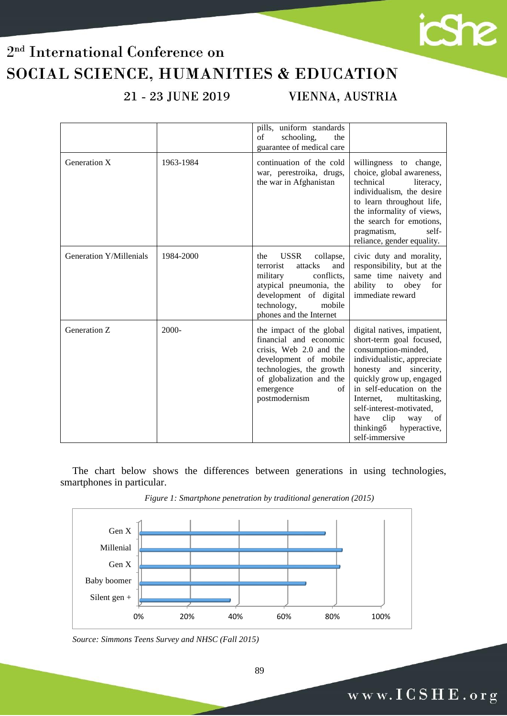21 - 23 JUNE 2019

VIENNA, AUSTRIA

icshe

|                         |           | pills, uniform standards<br>of<br>schooling,<br>the<br>guarantee of medical care                                                                                                                   |                                                                                                                                                                                                                                                                                                                                        |
|-------------------------|-----------|----------------------------------------------------------------------------------------------------------------------------------------------------------------------------------------------------|----------------------------------------------------------------------------------------------------------------------------------------------------------------------------------------------------------------------------------------------------------------------------------------------------------------------------------------|
| Generation X            | 1963-1984 | continuation of the cold<br>war, perestroika, drugs,<br>the war in Afghanistan                                                                                                                     | willingness to change,<br>choice, global awareness,<br>technical<br>literacy,<br>individualism, the desire<br>to learn throughout life,<br>the informality of views,<br>the search for emotions,<br>self-<br>pragmatism,<br>reliance, gender equality.                                                                                 |
| Generation Y/Millenials | 1984-2000 | <b>USSR</b><br>collapse,<br>the<br>attacks<br>terrorist<br>and<br>conflicts,<br>military<br>atypical pneumonia, the<br>development of digital<br>technology,<br>mobile<br>phones and the Internet  | civic duty and morality,<br>responsibility, but at the<br>same time naivety and<br>ability<br>$\mathop{\mathrm{to}}$<br>obey<br>for<br>immediate reward                                                                                                                                                                                |
| Generation Z            | $2000 -$  | the impact of the global<br>financial and economic<br>crisis, Web 2.0 and the<br>development of mobile<br>technologies, the growth<br>of globalization and the<br>of<br>emergence<br>postmodernism | digital natives, impatient,<br>short-term goal focused,<br>consumption-minded,<br>individualistic, appreciate<br>honesty and sincerity,<br>quickly grow up, engaged<br>in self-education on the<br>Internet,<br>multitasking,<br>self-interest-motivated,<br>clip<br>have<br>way<br>of<br>thinking 6<br>hyperactive,<br>self-immersive |

The chart below shows the differences between generations in using technologies, smartphones in particular.



*Figure 1: Smartphone penetration by traditional generation (2015)*

*Source: Simmons Teens Survey and NHSC (Fall 2015)*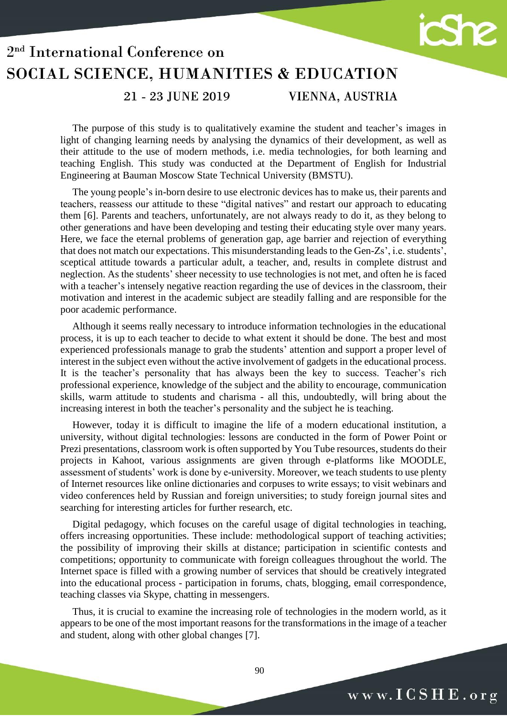

#### 21 - 23 JUNE 2019

VIENNA, AUSTRIA

The purpose of this study is to qualitatively examine the student and teacher's images in light of changing learning needs by analysing the dynamics of their development, as well as their attitude to the use of modern methods, i.e. media technologies, for both learning and teaching English. This study was conducted at the Department of English for Industrial Engineering at Bauman Moscow State Technical University (BMSTU).

The young people's in-born desire to use electronic devices has to make us, their parents and teachers, reassess our attitude to these "digital natives" and restart our approach to educating them [6]. Parents and teachers, unfortunately, are not always ready to do it, as they belong to other generations and have been developing and testing their educating style over many years. Here, we face the eternal problems of generation gap, age barrier and rejection of everything that does not match our expectations. This misunderstanding leads to the Gen-Zs', i.e. students', sceptical attitude towards a particular adult, a teacher, and, results in complete distrust and neglection. As the students' sheer necessity to use technologies is not met, and often he is faced with a teacher's intensely negative reaction regarding the use of devices in the classroom, their motivation and interest in the academic subject are steadily falling and are responsible for the poor academic performance.

Although it seems really necessary to introduce information technologies in the educational process, it is up to each teacher to decide to what extent it should be done. The best and most experienced professionals manage to grab the students' attention and support a proper level of interest in the subject even without the active involvement of gadgets in the educational process. It is the teacher's personality that has always been the key to success. Teacher's rich professional experience, knowledge of the subject and the ability to encourage, communication skills, warm attitude to students and charisma - all this, undoubtedly, will bring about the increasing interest in both the teacher's personality and the subject he is teaching.

However, today it is difficult to imagine the life of a modern educational institution, a university, without digital technologies: lessons are conducted in the form of Power Point or Prezi presentations, classroom work is often supported by You Tube resources, students do their projects in Kahoot, various assignments are given through e-platforms like MOODLE, assessment of students' work is done by e-university. Moreover, we teach students to use plenty of Internet resources like online dictionaries and corpuses to write essays; to visit webinars and video conferences held by Russian and foreign universities; to study foreign journal sites and searching for interesting articles for further research, etc.

Digital pedagogy, which focuses on the careful usage of digital technologies in teaching, offers increasing opportunities. These include: methodological support of teaching activities; the possibility of improving their skills at distance; participation in scientific contests and competitions; opportunity to communicate with foreign colleagues throughout the world. The Internet space is filled with a growing number of services that should be creatively integrated into the educational process - participation in forums, chats, blogging, email correspondence, teaching classes via Skype, chatting in messengers.

Thus, it is crucial to examine the increasing role of technologies in the modern world, as it appears to be one of the most important reasons for the transformations in the image of a teacher and student, along with other global changes [7].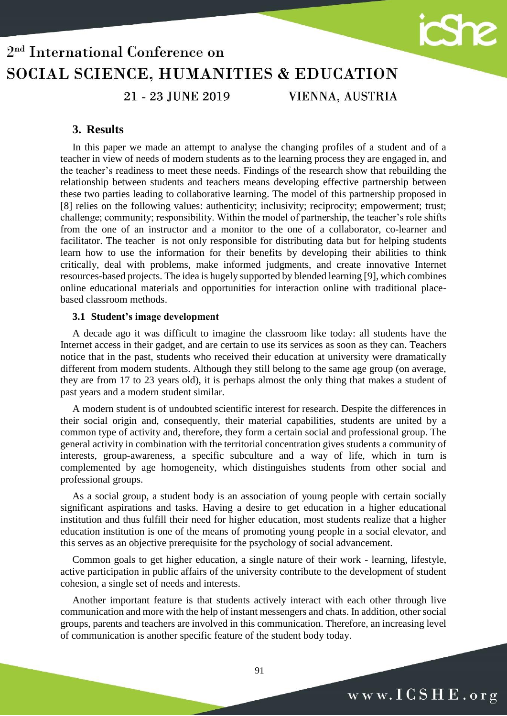

# SOCIAL SCIENCE, HUMANITIES & EDUCATION

21 - 23 JUNE 2019

VIENNA, AUSTRIA

#### **3. Results**

In this paper we made an attempt to analyse the changing profiles of a student and of a teacher in view of needs of modern students as to the learning process they are engaged in, and the teacher's readiness to meet these needs. Findings of the research show that rebuilding the relationship between students and teachers means developing effective partnership between these two parties leading to collaborative learning. The model of this partnership proposed in [8] relies on the following values: authenticity; inclusivity; reciprocity; empowerment; trust; challenge; community; responsibility. Within the model of partnership, the teacher's role shifts from the one of an instructor and a monitor to the one of a collaborator, co-learner and facilitator. The teacher is not only responsible for distributing data but for helping students learn how to use the information for their benefits by developing their abilities to think critically, deal with problems, make informed judgments, and create innovative Internet resources-based projects. The idea is hugely supported by blended learning [9], which combines online educational materials and opportunities for interaction online with traditional placebased classroom methods.

#### **3.1 Student's image development**

A decade ago it was difficult to imagine the classroom like today: all students have the Internet access in their gadget, and are certain to use its services as soon as they can. Teachers notice that in the past, students who received their education at university were dramatically different from modern students. Although they still belong to the same age group (on average, they are from 17 to 23 years old), it is perhaps almost the only thing that makes a student of past years and a modern student similar.

A modern student is of undoubted scientific interest for research. Despite the differences in their social origin and, consequently, their material capabilities, students are united by a common type of activity and, therefore, they form a certain social and professional group. The general activity in combination with the territorial concentration gives students a community of interests, group-awareness, a specific subculture and a way of life, which in turn is complemented by age homogeneity, which distinguishes students from other social and professional groups.

As a social group, a student body is an association of young people with certain socially significant aspirations and tasks. Having a desire to get education in a higher educational institution and thus fulfill their need for higher education, most students realize that a higher education institution is one of the means of promoting young people in a social elevator, and this serves as an objective prerequisite for the psychology of social advancement.

Common goals to get higher education, a single nature of their work - learning, lifestyle, active participation in public affairs of the university contribute to the development of student cohesion, a single set of needs and interests.

Another important feature is that students actively interact with each other through live communication and more with the help of instant messengers and chats. In addition, other social groups, parents and teachers are involved in this communication. Therefore, an increasing level of communication is another specific feature of the student body today.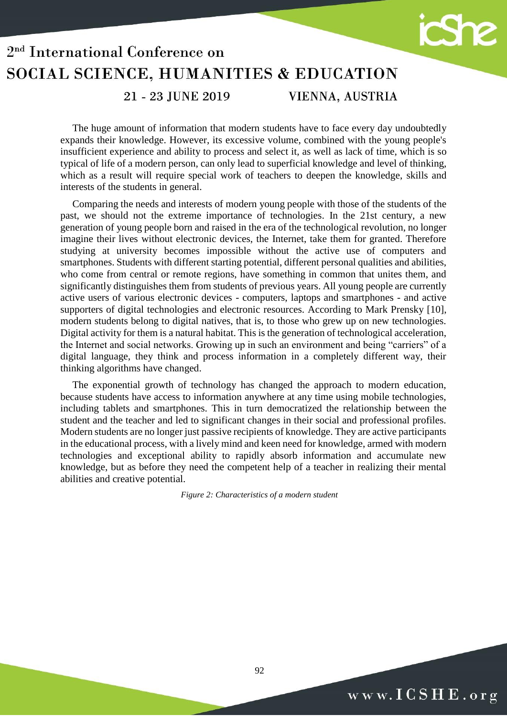

21 - 23 JUNE 2019

VIENNA, AUSTRIA

The huge amount of information that modern students have to face every day undoubtedly expands their knowledge. However, its excessive volume, combined with the young people's insufficient experience and ability to process and select it, as well as lack of time, which is so typical of life of a modern person, can only lead to superficial knowledge and level of thinking, which as a result will require special work of teachers to deepen the knowledge, skills and interests of the students in general.

Comparing the needs and interests of modern young people with those of the students of the past, we should not the extreme importance of technologies. In the 21st century, a new generation of young people born and raised in the era of the technological revolution, no longer imagine their lives without electronic devices, the Internet, take them for granted. Therefore studying at university becomes impossible without the active use of computers and smartphones. Students with different starting potential, different personal qualities and abilities, who come from central or remote regions, have something in common that unites them, and significantly distinguishes them from students of previous years. All young people are currently active users of various electronic devices - computers, laptops and smartphones - and active supporters of digital technologies and electronic resources. According to Mark Prensky [10], modern students belong to digital natives, that is, to those who grew up on new technologies. Digital activity for them is a natural habitat. This is the generation of technological acceleration, the Internet and social networks. Growing up in such an environment and being "carriers" of a digital language, they think and process information in a completely different way, their thinking algorithms have changed.

The exponential growth of technology has changed the approach to modern education, because students have access to information anywhere at any time using mobile technologies, including tablets and smartphones. This in turn democratized the relationship between the student and the teacher and led to significant changes in their social and professional profiles. Modern students are no longer just passive recipients of knowledge. They are active participants in the educational process, with a lively mind and keen need for knowledge, armed with modern technologies and exceptional ability to rapidly absorb information and accumulate new knowledge, but as before they need the competent help of a teacher in realizing their mental abilities and creative potential.

*Figure 2: Characteristics of a modern student*

92

www.ICSHE.org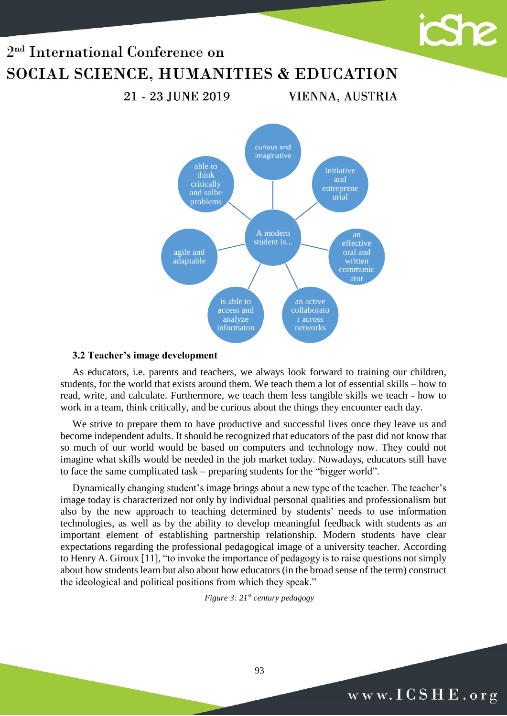21 - 23 JUNE 2019

A modern student is... curious and imaginative initiative and entreprene urial effective oral and written communic ator an active collaborato networks is able to access and analyze informaton agile and adaptable able to think critically and solbe problems

VIENNA, AUSTRIA

#### **3.2 Teacher's image development**

As educators, i.e. parents and teachers, we always look forward to training our children, students, for the world that exists around them. We teach them a lot of essential skills – how to read, write, and calculate. Furthermore, we teach them less tangible skills we teach - how to work in a team, think critically, and be curious about the things they encounter each day.

We strive to prepare them to have productive and successful lives once they leave us and become independent adults. It should be recognized that educators of the past did not know that so much of our world would be based on computers and technology now. They could not imagine what skills would be needed in the job market today. Nowadays, educators still have to face the same complicated task – preparing students for the "bigger world".

Dynamically changing student's image brings about a new type of the teacher. The teacher's image today is characterized not only by individual personal qualities and professionalism but also by the new approach to teaching determined by students' needs to use information technologies, as well as by the ability to develop meaningful feedback with students as an important element of establishing partnership relationship. Modern students have clear expectations regarding the professional pedagogical image of a university teacher. According to Henry A. Giroux [11], "to invoke the importance of pedagogy is to raise questions not simply about how students learn but also about how educators (in the broad sense of the term) construct the ideological and political positions from which they speak."

*Figure 3: 21st century pedagogy*

93

icShe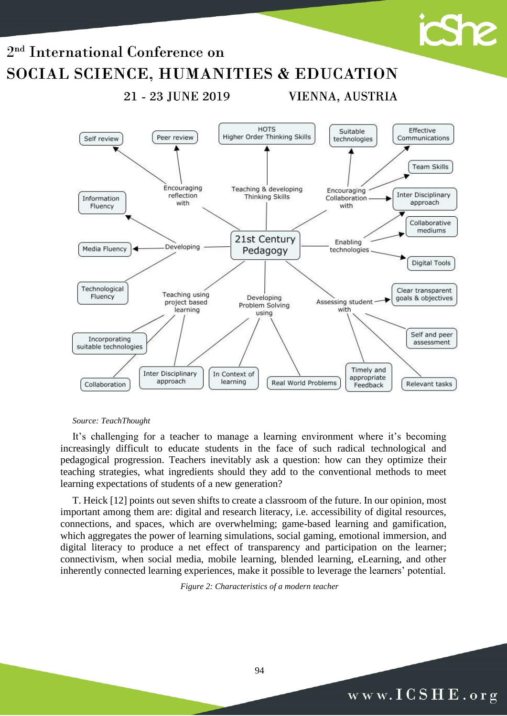

#### *Source: TeachThought*

It's challenging for a teacher to manage a learning environment where it's becoming increasingly difficult to educate students in the face of such radical technological and pedagogical progression. Teachers inevitably ask a question: how can they optimize their teaching strategies, what ingredients should they add to the conventional methods to meet learning expectations of students of a new generation?

T. Heick [12] points out seven shifts to create a classroom of the future. In our opinion, most important among them are: digital and research literacy, i.e. accessibility of digital resources, connections, and spaces, which are overwhelming; game-based learning and gamification, which aggregates the power of learning simulations, social gaming, emotional immersion, and digital literacy to produce a net effect of transparency and participation on the learner; connectivism, when social media, mobile learning, blended learning, eLearning, and other inherently connected learning experiences, make it possible to leverage the learners' potential.

*Figure 2: Characteristics of a modern teacher*

### www.ICSHE.org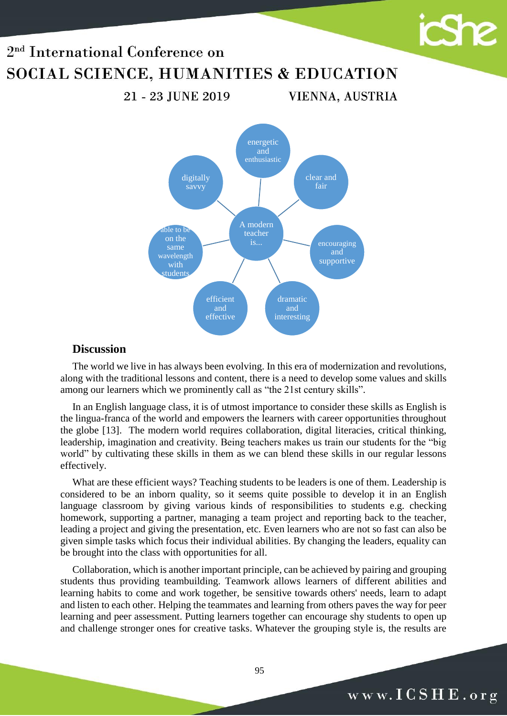21 - 23 JUNE 2019

A modern teacher energetic and enthusiastic clear and fair encouraging and supportive dramatic and interesting efficient and effective able to be on the same wavelength with students digitally savvy

VIENNA, AUSTRIA

#### **Discussion**

The world we live in has always been evolving. In this era of modernization and revolutions, along with the traditional lessons and content, there is a need to develop some values and skills among our learners which we prominently call as "the 21st century skills".

In an English language class, it is of utmost importance to consider these skills as English is the lingua-franca of the world and empowers the learners with career opportunities throughout the globe [13]. The modern world requires collaboration, digital literacies, critical thinking, leadership, imagination and creativity. Being teachers makes us train our students for the "big world" by cultivating these skills in them as we can blend these skills in our regular lessons effectively.

What are these efficient ways? Teaching students to be leaders is one of them. Leadership is considered to be an inborn quality, so it seems quite possible to develop it in an English language classroom by giving various kinds of responsibilities to students e.g. checking homework, supporting a partner, managing a team project and reporting back to the teacher, leading a project and giving the presentation, etc. Even learners who are not so fast can also be given simple tasks which focus their individual abilities. By changing the leaders, equality can be brought into the class with opportunities for all.

Collaboration, which is another important principle, can be achieved by pairing and grouping students thus providing teambuilding. Teamwork allows learners of different abilities and learning habits to come and work together, be sensitive towards others' needs, learn to adapt and listen to each other. Helping the teammates and learning from others paves the way for peer learning and peer assessment. Putting learners together can encourage shy students to open up and challenge stronger ones for creative tasks. Whatever the grouping style is, the results are

95

icShe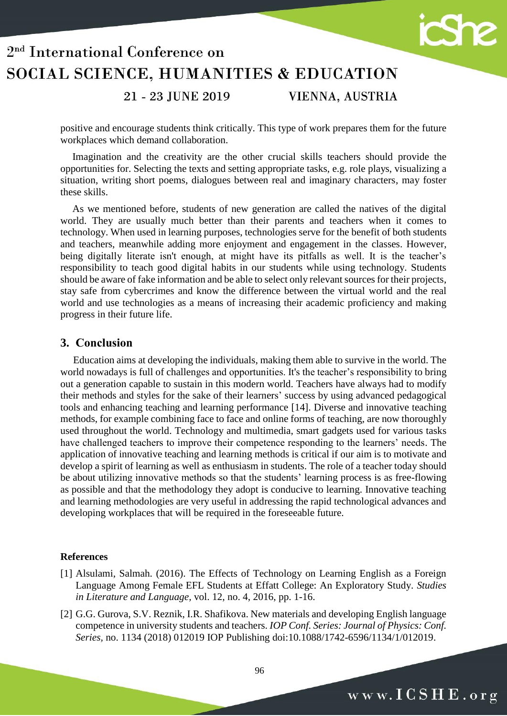

#### 21 - 23 JUNE 2019

#### VIENNA, AUSTRIA

positive and encourage students think critically. This type of work prepares them for the future workplaces which demand collaboration.

Imagination and the creativity are the other crucial skills teachers should provide the opportunities for. Selecting the texts and setting appropriate tasks, e.g. role plays, visualizing a situation, writing short poems, dialogues between real and imaginary characters, may foster these skills.

As we mentioned before, students of new generation are called the natives of the digital world. They are usually much better than their parents and teachers when it comes to technology. When used in learning purposes, technologies serve for the benefit of both students and teachers, meanwhile adding more enjoyment and engagement in the classes. However, being digitally literate isn't enough, at might have its pitfalls as well. It is the teacher's responsibility to teach good digital habits in our students while using technology. Students should be aware of fake information and be able to select only relevant sources for their projects, stay safe from cybercrimes and know the difference between the virtual world and the real world and use technologies as a means of increasing their academic proficiency and making progress in their future life.

#### **3. Conclusion**

 Education aims at developing the individuals, making them able to survive in the world. The world nowadays is full of challenges and opportunities. It's the teacher's responsibility to bring out a generation capable to sustain in this modern world. Teachers have always had to modify their methods and styles for the sake of their learners' success by using advanced pedagogical tools and enhancing teaching and learning performance [14]. Diverse and innovative teaching methods, for example combining face to face and online forms of teaching, are now thoroughly used throughout the world. Technology and multimedia, smart gadgets used for various tasks have challenged teachers to improve their competence responding to the learners' needs. The application of innovative teaching and learning methods is critical if our aim is to motivate and develop a spirit of learning as well as enthusiasm in students. The role of a teacher today should be about utilizing innovative methods so that the students' learning process is as free-flowing as possible and that the methodology they adopt is conducive to learning. Innovative teaching and learning methodologies are very useful in addressing the rapid technological advances and developing workplaces that will be required in the foreseeable future.

#### **References**

- [1] Alsulami, Salmah. (2016). The Effects of Technology on Learning English as a Foreign Language Among Female EFL Students at Effatt College: An Exploratory Study. *Studies in Literature and Language,* vol. 12, no. 4, 2016, pp. 1-16.
- [2] G.G. Gurova, S.V. Reznik, I.R. Shafikova. New materials and developing English language competence in university students and teachers. *IOP Conf. Series: Journal of Physics: Conf. Series,* no. 1134 (2018) 012019 IOP Publishing doi:10.1088/1742-6596/1134/1/012019.